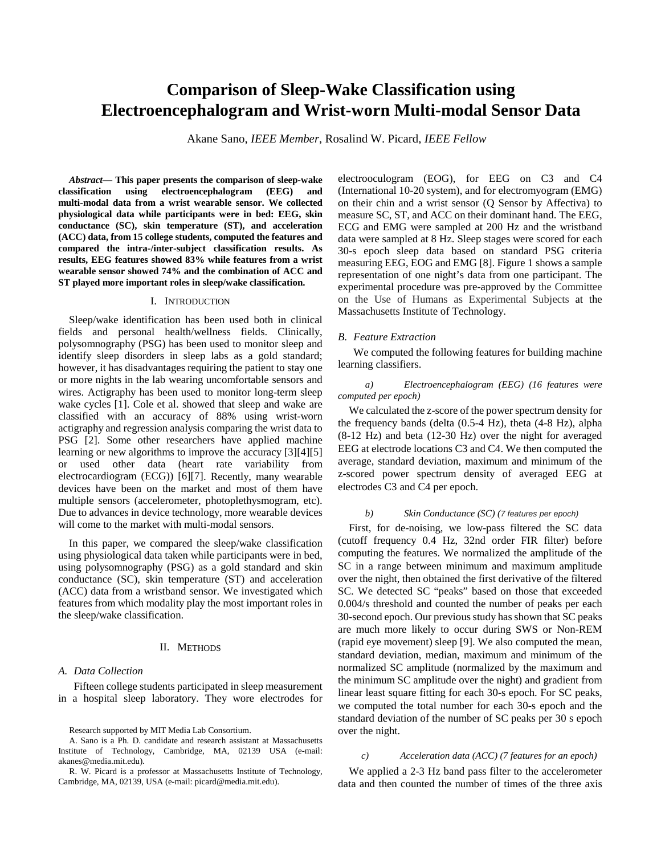# **Comparison of Sleep-Wake Classification using Electroencephalogram and Wrist-worn Multi-modal Sensor Data**

Akane Sano, *IEEE Member*, Rosalind W. Picard, *IEEE Fellow*

*Abstract***— This paper presents the comparison of sleep-wake classification using electroencephalogram (EEG) and multi-modal data from a wrist wearable sensor. We collected physiological data while participants were in bed: EEG, skin conductance (SC), skin temperature (ST), and acceleration (ACC) data, from 15 college students, computed the features and compared the intra-/inter-subject classification results. As results, EEG features showed 83% while features from a wrist wearable sensor showed 74% and the combination of ACC and ST played more important roles in sleep/wake classification.**

## I. INTRODUCTION

Sleep/wake identification has been used both in clinical fields and personal health/wellness fields. Clinically, polysomnography (PSG) has been used to monitor sleep and identify sleep disorders in sleep labs as a gold standard; however, it has disadvantages requiring the patient to stay one or more nights in the lab wearing uncomfortable sensors and wires. Actigraphy has been used to monitor long-term sleep wake cycles [1]. Cole et al. showed that sleep and wake are classified with an accuracy of 88% using wrist-worn actigraphy and regression analysis comparing the wrist data to PSG [2]. Some other researchers have applied machine learning or new algorithms to improve the accuracy [3][4][5] or used other data (heart rate variability from electrocardiogram (ECG)) [6][7]. Recently, many wearable devices have been on the market and most of them have multiple sensors (accelerometer, photoplethysmogram, etc). Due to advances in device technology, more wearable devices will come to the market with multi-modal sensors.

In this paper, we compared the sleep/wake classification using physiological data taken while participants were in bed, using polysomnography (PSG) as a gold standard and skin conductance (SC), skin temperature (ST) and acceleration (ACC) data from a wristband sensor. We investigated which features from which modality play the most important roles in the sleep/wake classification.

## II. METHODS

## *A. Data Collection*

Fifteen college students participated in sleep measurement in a hospital sleep laboratory. They wore electrodes for electrooculogram (EOG), for EEG on C3 and C4 (International 10-20 system), and for electromyogram (EMG) on their chin and a wrist sensor (Q Sensor by Affectiva) to measure SC, ST, and ACC on their dominant hand. The EEG, ECG and EMG were sampled at 200 Hz and the wristband data were sampled at 8 Hz. Sleep stages were scored for each 30-s epoch sleep data based on standard PSG criteria measuring EEG, EOG and EMG [8]. Figure 1 shows a sample representation of one night's data from one participant. The experimental procedure was pre-approved by the Committee on the Use of Humans as Experimental Subjects at the Massachusetts Institute of Technology.

#### *B. Feature Extraction*

We computed the following features for building machine learning classifiers.

*a) Electroencephalogram (EEG) (16 features were computed per epoch)*

We calculated the z-score of the power spectrum density for the frequency bands (delta (0.5-4 Hz), theta (4-8 Hz), alpha (8-12 Hz) and beta (12-30 Hz) over the night for averaged EEG at electrode locations C3 and C4. We then computed the average, standard deviation, maximum and minimum of the z-scored power spectrum density of averaged EEG at electrodes C3 and C4 per epoch.

#### *b) Skin Conductance (SC) (7 features per epoch)*

First, for de-noising, we low-pass filtered the SC data (cutoff frequency 0.4 Hz, 32nd order FIR filter) before computing the features. We normalized the amplitude of the SC in a range between minimum and maximum amplitude over the night, then obtained the first derivative of the filtered SC. We detected SC "peaks" based on those that exceeded 0.004/s threshold and counted the number of peaks per each 30-second epoch. Our previous study hasshown that SC peaks are much more likely to occur during SWS or Non-REM (rapid eye movement) sleep [9]. We also computed the mean, standard deviation, median, maximum and minimum of the normalized SC amplitude (normalized by the maximum and the minimum SC amplitude over the night) and gradient from linear least square fitting for each 30-s epoch. For SC peaks, we computed the total number for each 30-s epoch and the standard deviation of the number of SC peaks per 30 s epoch over the night.

#### *c) Acceleration data (ACC) (7 features for an epoch)*

We applied a 2-3 Hz band pass filter to the accelerometer data and then counted the number of times of the three axis

Research supported by MIT Media Lab Consortium.

A. Sano is a Ph. D. candidate and research assistant at Massachusetts Institute of Technology, Cambridge, MA, 02139 USA (e-mail: akanes@media.mit.edu).

R. W. Picard is a professor at Massachusetts Institute of Technology, Cambridge, MA, 02139, USA (e-mail: picard@media.mit.edu).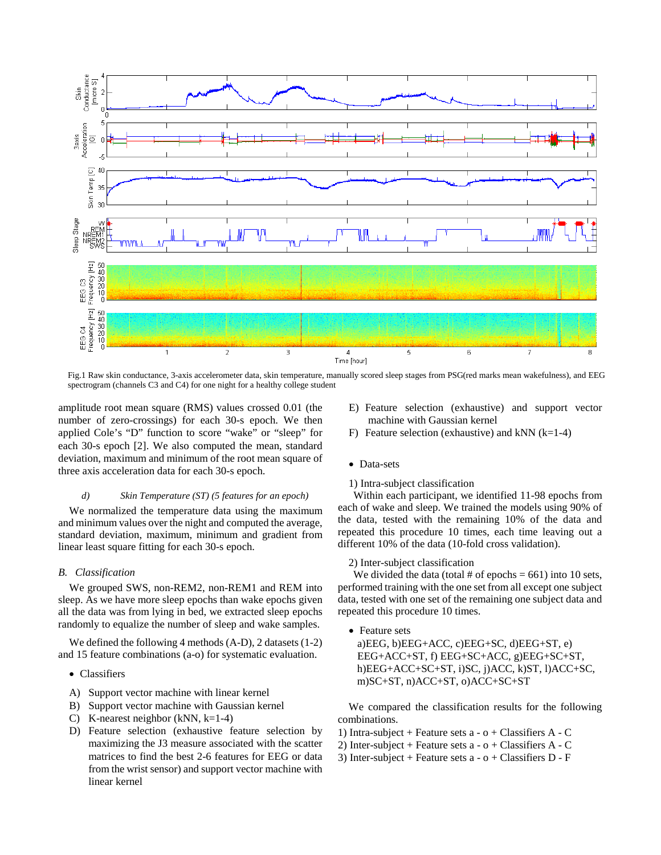

Fig.1 Raw skin conductance, 3-axis accelerometer data, skin temperature, manually scored sleep stages from PSG(red marks mean wakefulness), and EEG spectrogram (channels C3 and C4) for one night for a healthy college student

amplitude root mean square (RMS) values crossed 0.01 (the number of zero-crossings) for each 30-s epoch. We then applied Cole's "D" function to score "wake" or "sleep" for each 30-s epoch [2]. We also computed the mean, standard deviation, maximum and minimum of the root mean square of three axis acceleration data for each 30-s epoch.

## *d) Skin Temperature (ST) (5 features for an epoch)*

We normalized the temperature data using the maximum and minimum values over the night and computed the average, standard deviation, maximum, minimum and gradient from linear least square fitting for each 30-s epoch.

## *B. Classification*

We grouped SWS, non-REM2, non-REM1 and REM into sleep. As we have more sleep epochs than wake epochs given all the data was from lying in bed, we extracted sleep epochs randomly to equalize the number of sleep and wake samples.

We defined the following 4 methods (A-D), 2 datasets (1-2) and 15 feature combinations (a-o) for systematic evaluation.

#### • Classifiers

- A) Support vector machine with linear kernel
- B) Support vector machine with Gaussian kernel
- C) K-nearest neighbor (kNN,  $k=1-4$ )
- D) Feature selection (exhaustive feature selection by maximizing the J3 measure associated with the scatter matrices to find the best 2-6 features for EEG or data from the wrist sensor) and support vector machine with linear kernel
- E) Feature selection (exhaustive) and support vector machine with Gaussian kernel
- F) Feature selection (exhaustive) and kNN  $(k=1-4)$
- Data-sets
- 1) Intra-subject classification

Within each participant, we identified 11-98 epochs from each of wake and sleep. We trained the models using 90% of the data, tested with the remaining 10% of the data and repeated this procedure 10 times, each time leaving out a different 10% of the data (10-fold cross validation).

## 2) Inter-subject classification

We divided the data (total # of epochs  $= 661$ ) into 10 sets, performed training with the one set from all except one subject data, tested with one set of the remaining one subject data and repeated this procedure 10 times.

• Feature sets

a) $EEG$ , b) $EEG+ACC$ , c) $EEG+SC$ , d) $EEG+ST$ , e) EEG+ACC+ST, f) EEG+SC+ACC, g)EEG+SC+ST, h)EEG+ACC+SC+ST, i)SC, j)ACC, k)ST, l)ACC+SC, m)SC+ST, n)ACC+ST, o)ACC+SC+ST

We compared the classification results for the following combinations.

- 1) Intra-subject + Feature sets a o + Classifiers A C
- 2) Inter-subject + Feature sets  $a o + Classifiers A C$
- 3) Inter-subject + Feature sets  $a o + Classifiers D F$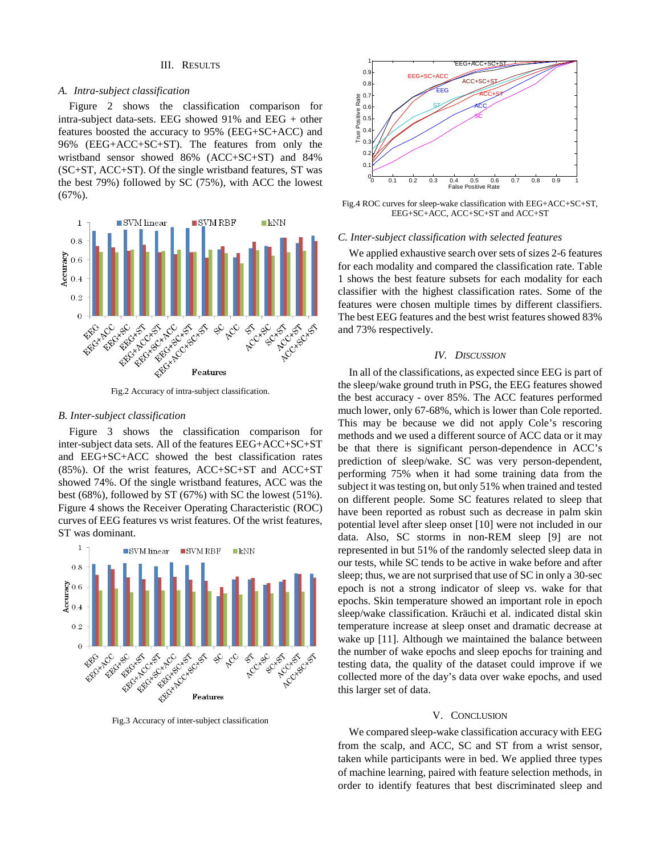## III. RESULTS

#### *A. Intra-subject classification*

Figure 2 shows the classification comparison for intra-subject data-sets. EEG showed 91% and EEG + other features boosted the accuracy to 95% (EEG+SC+ACC) and 96% (EEG+ACC+SC+ST). The features from only the wristband sensor showed 86% (ACC+SC+ST) and 84% (SC+ST, ACC+ST). Of the single wristband features, ST was the best 79%) followed by SC (75%), with ACC the lowest (67%).



Fig.2 Accuracy of intra-subject classification.

## *B. Inter-subject classification*

Figure 3 shows the classification comparison for inter-subject data sets. All of the features EEG+ACC+SC+ST and EEG+SC+ACC showed the best classification rates (85%). Of the wrist features, ACC+SC+ST and ACC+ST showed 74%. Of the single wristband features, ACC was the best (68%), followed by ST (67%) with SC the lowest (51%). Figure 4 shows the Receiver Operating Characteristic (ROC) curves of EEG features vs wrist features. Of the wrist features, ST was dominant.



Fig.3 Accuracy of inter-subject classification



Fig.4 ROC curves for sleep-wake classification with EEG+ACC+SC+ST, EEG+SC+ACC, ACC+SC+ST and ACC+ST

#### *C. Inter-subject classification with selected features*

We applied exhaustive search over sets of sizes 2-6 features for each modality and compared the classification rate. Table 1 shows the best feature subsets for each modality for each classifier with the highest classification rates. Some of the features were chosen multiple times by different classifiers. The best EEG features and the best wrist features showed 83% and 73% respectively.

#### *IV. DISCUSSION*

In all of the classifications, as expected since EEG is part of the sleep/wake ground truth in PSG, the EEG features showed the best accuracy - over 85%. The ACC features performed much lower, only 67-68%, which is lower than Cole reported. This may be because we did not apply Cole's rescoring methods and we used a different source of ACC data or it may be that there is significant person-dependence in ACC's prediction of sleep/wake. SC was very person-dependent, performing 75% when it had some training data from the subject it was testing on, but only 51% when trained and tested on different people. Some SC features related to sleep that have been reported as robust such as decrease in palm skin potential level after sleep onset [10] were not included in our data. Also, SC storms in non-REM sleep [9] are not represented in but 51% of the randomly selected sleep data in our tests, while SC tends to be active in wake before and after sleep; thus, we are not surprised that use of SC in only a 30-sec epoch is not a strong indicator of sleep vs. wake for that epochs. Skin temperature showed an important role in epoch sleep/wake classification. Kräuchi et al. indicated distal skin temperature increase at sleep onset and dramatic decrease at wake up [11]. Although we maintained the balance between the number of wake epochs and sleep epochs for training and testing data, the quality of the dataset could improve if we collected more of the day's data over wake epochs, and used this larger set of data.

#### V. CONCLUSION

We compared sleep-wake classification accuracy with EEG from the scalp, and ACC, SC and ST from a wrist sensor, taken while participants were in bed. We applied three types of machine learning, paired with feature selection methods, in order to identify features that best discriminated sleep and